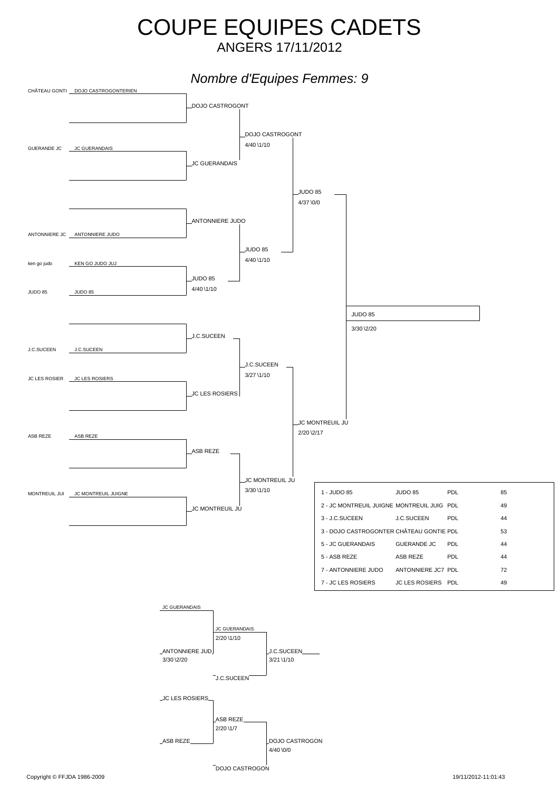## COUPE EQUIPES CADETS ANGERS 17/11/2012

## *Nombre d'Equipes Femmes: 9*